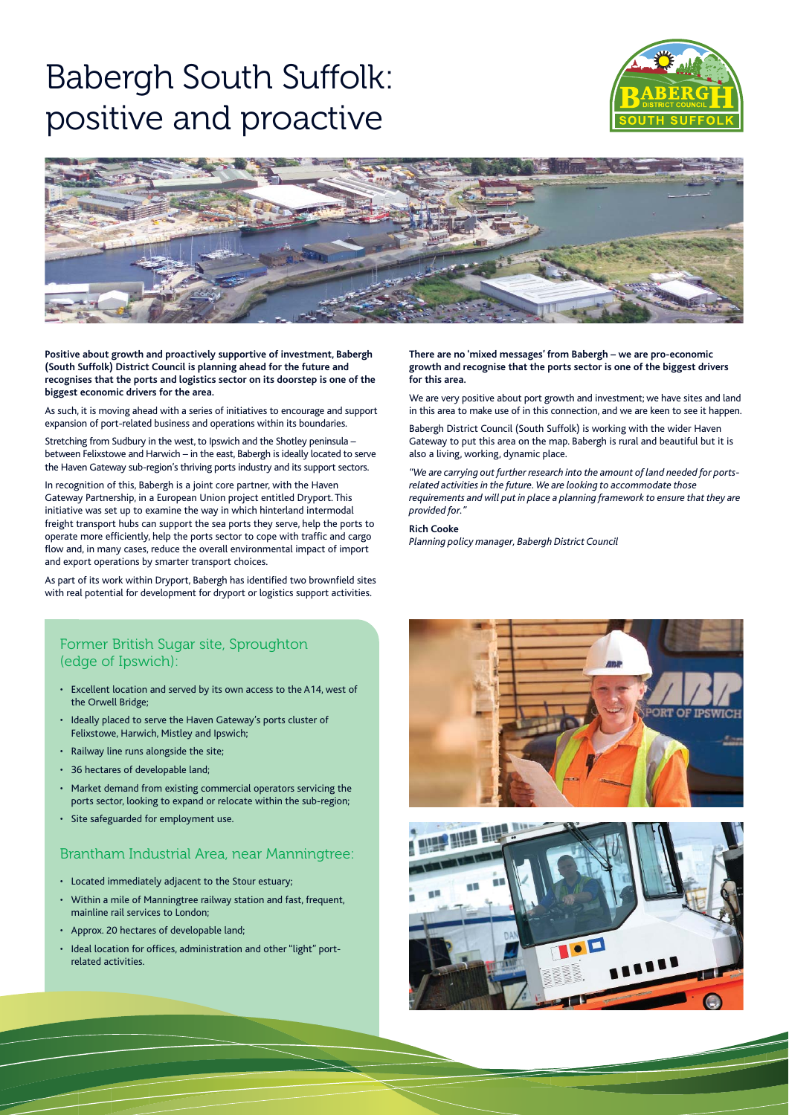# Babergh South Suffolk: positive and proactive





**Positive about growth and proactively supportive of investment, Babergh (South Suffolk) District Council is planning ahead for the future and recognises that the ports and logistics sector on its doorstep is one of the biggest economic drivers for the area.**

As such, it is moving ahead with a series of initiatives to encourage and support expansion of port-related business and operations within its boundaries.

Stretching from Sudbury in the west, to Ipswich and the Shotley peninsula – between Felixstowe and Harwich – in the east, Babergh is ideally located to serve the Haven Gateway sub-region's thriving ports industry and its support sectors.

In recognition of this, Babergh is a joint core partner, with the Haven Gateway Partnership, in a European Union project entitled Dryport. This initiative was set up to examine the way in which hinterland intermodal freight transport hubs can support the sea ports they serve, help the ports to operate more efficiently, help the ports sector to cope with traffic and cargo flow and, in many cases, reduce the overall environmental impact of import and export operations by smarter transport choices.

As part of its work within Dryport, Babergh has identified two brownfield sites with real potential for development for dryport or logistics support activities.

### Former British Sugar site, Sproughton (edge of Ipswich):

- Excellent location and served by its own access to the A14, west of the Orwell Bridge;
- Ideally placed to serve the Haven Gateway's ports cluster of Felixstowe, Harwich, Mistley and Ipswich;
- Railway line runs alongside the site;
- 36 hectares of developable land;
- Market demand from existing commercial operators servicing the ports sector, looking to expand or relocate within the sub-region;
- Site safeguarded for employment use.

### Brantham Industrial Area, near Manningtree:

- Located immediately adjacent to the Stour estuary;
- Within a mile of Manningtree railway station and fast, frequent, mainline rail services to London;
- Approx. 20 hectares of developable land;
- Ideal location for offices, administration and other "light" portrelated activities.

**There are no 'mixed messages' from Babergh – we are pro-economic growth and recognise that the ports sector is one of the biggest drivers for this area.**

We are very positive about port growth and investment; we have sites and land in this area to make use of in this connection, and we are keen to see it happen.

Babergh District Council (South Suffolk) is working with the wider Haven Gateway to put this area on the map. Babergh is rural and beautiful but it is also a living, working, dynamic place.

*"We are carrying out further research into the amount of land needed for portsrelated activities in the future. We are looking to accommodate those requirements and will put in place a planning framework to ensure that they are provided for."*

#### **Rich Cooke**

*Planning policy manager, Babergh District Council*